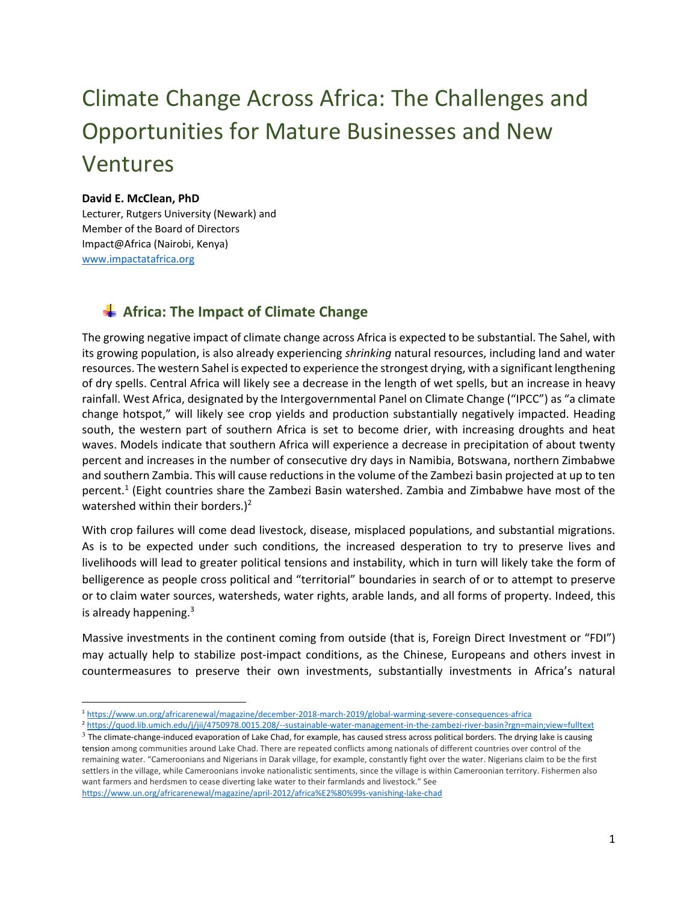# Climate Change Across Africa: The Challenges and Opportunities for Mature Businesses and New Ventures

#### **David E. McClean, PhD**

Lecturer, Rutgers University (Newark) and Member of the Board of Directors Impact@Africa (Nairobi, Kenya) www.impactatafrica.org

## **Africa: The Impact of Climate Change**

The growing negative impact of climate change across Africa is expected to be substantial. The Sahel, with its growing population, is also already experiencing *shrinking* natural resources, including land and water resources. The western Sahel is expected to experience the strongest drying, with a significant lengthening of dry spells. Central Africa will likely see a decrease in the length of wet spells, but an increase in heavy rainfall. West Africa, designated by the Intergovernmental Panel on Climate Change ("IPCC") as "a climate change hotspot," will likely see crop yields and production substantially negatively impacted. Heading south, the western part of southern Africa is set to become drier, with increasing droughts and heat waves. Models indicate that southern Africa will experience a decrease in precipitation of about twenty percent and increases in the number of consecutive dry days in Namibia, Botswana, northern Zimbabwe and southern Zambia. This will cause reductions in the volume of the Zambezi basin projected at up to ten percent.<sup>1</sup> (Eight countries share the Zambezi Basin watershed. Zambia and Zimbabwe have most of the watershed within their borders.)<sup>2</sup>

With crop failures will come dead livestock, disease, misplaced populations, and substantial migrations. As is to be expected under such conditions, the increased desperation to try to preserve lives and livelihoods will lead to greater political tensions and instability, which in turn will likely take the form of belligerence as people cross political and "territorial" boundaries in search of or to attempt to preserve or to claim water sources, watersheds, water rights, arable lands, and all forms of property. Indeed, this is already happening.<sup>3</sup>

Massive investments in the continent coming from outside (that is, Foreign Direct Investment or "FDI") may actually help to stabilize post-impact conditions, as the Chinese, Europeans and others invest in countermeasures to preserve their own investments, substantially investments in Africa's natural

1

<sup>1</sup> https://www.un.org/africarenewal/magazine/december‐2018‐march‐2019/global‐warming‐severe‐consequences‐africa

<sup>2</sup> https://quod.lib.umich.edu/j/jii/4750978.0015.208/‐‐sustainable‐water‐management‐in‐the‐zambezi‐river‐basin?rgn=main;view=fulltext

 $3$  The climate-change-induced evaporation of Lake Chad, for example, has caused stress across political borders. The drying lake is causing tension among communities around Lake Chad. There are repeated conflicts among nationals of different countries over control of the remaining water. "Cameroonians and Nigerians in Darak village, for example, constantly fight over the water. Nigerians claim to be the first settlers in the village, while Cameroonians invoke nationalistic sentiments, since the village is within Cameroonian territory. Fishermen also want farmers and herdsmen to cease diverting lake water to their farmlands and livestock." See https://www.un.org/africarenewal/magazine/april‐2012/africa%E2%80%99s‐vanishing‐lake‐chad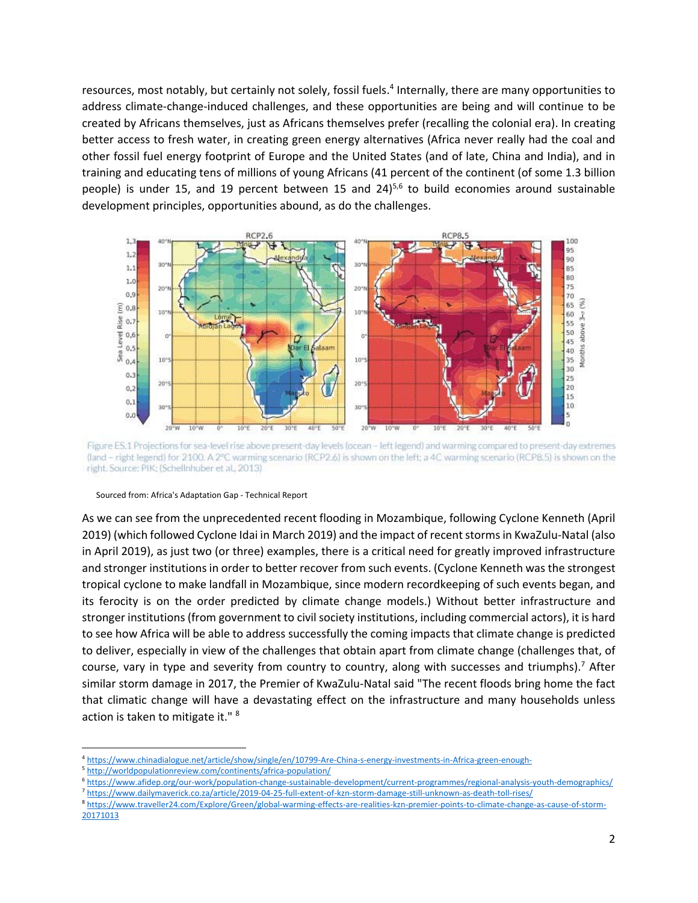resources, most notably, but certainly not solely, fossil fuels.<sup>4</sup> Internally, there are many opportunities to address climate‐change‐induced challenges, and these opportunities are being and will continue to be created by Africans themselves, just as Africans themselves prefer (recalling the colonial era). In creating better access to fresh water, in creating green energy alternatives (Africa never really had the coal and other fossil fuel energy footprint of Europe and the United States (and of late, China and India), and in training and educating tens of millions of young Africans (41 percent of the continent (of some 1.3 billion people) is under 15, and 19 percent between 15 and  $24$ <sup>5,6</sup> to build economies around sustainable development principles, opportunities abound, as do the challenges.



Figure ES.1 Projections for sea-level rise above present-day levels (ocean - left legend) and warming compared to present-day extremes (land - right legend) for 2100. A 2°C warming scenario (RCP2.6) is shown on the left; a 4C warming scenario (RCP8.5) is shown on the right. Source: PIK; (Schellnhuber et al., 2013)

#### Sourced from: Africa's Adaptation Gap ‐ Technical Report

As we can see from the unprecedented recent flooding in Mozambique, following Cyclone Kenneth (April 2019) (which followed Cyclone Idai in March 2019) and the impact of recent storms in KwaZulu‐Natal (also in April 2019), as just two (or three) examples, there is a critical need for greatly improved infrastructure and stronger institutions in order to better recover from such events. (Cyclone Kenneth was the strongest tropical cyclone to make landfall in Mozambique, since modern recordkeeping of such events began, and its ferocity is on the order predicted by climate change models.) Without better infrastructure and stronger institutions (from government to civil society institutions, including commercial actors), it is hard to see how Africa will be able to address successfully the coming impacts that climate change is predicted to deliver, especially in view of the challenges that obtain apart from climate change (challenges that, of course, vary in type and severity from country to country, along with successes and triumphs).<sup>7</sup> After similar storm damage in 2017, the Premier of KwaZulu‐Natal said "The recent floods bring home the fact that climatic change will have a devastating effect on the infrastructure and many households unless action is taken to mitigate it." 8

<sup>4</sup> https://www.chinadialogue.net/article/show/single/en/10799‐Are‐China‐s‐energy‐investments‐in‐Africa‐green‐enough‐

<sup>5</sup> http://worldpopulationreview.com/continents/africa‐population/

<sup>6</sup> https://www.afidep.org/our‐work/population‐change‐sustainable‐development/current‐programmes/regional‐analysis‐youth‐demographics/ <sup>7</sup> https://www.dailymaverick.co.za/article/2019‐04‐25‐full‐extent‐of‐kzn‐storm‐damage‐still‐unknown‐as‐death‐toll‐rises/

<sup>8</sup> https://www.traveller24.com/Explore/Green/global‐warming‐effects‐are‐realities‐kzn‐premier‐points‐to‐climate‐change‐as‐cause‐of‐storm‐ 20171013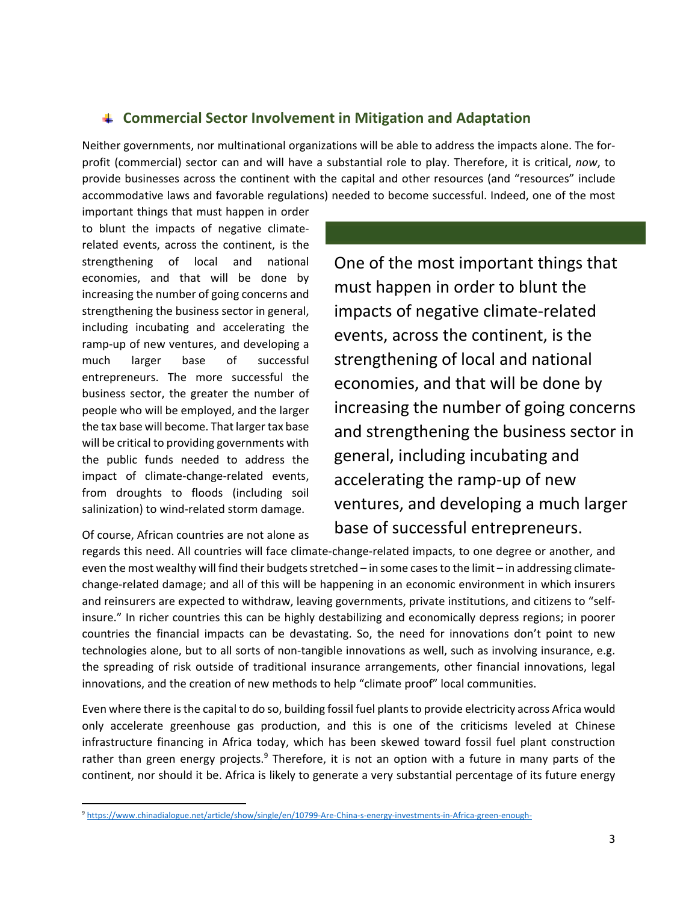## **Commercial Sector Involvement in Mitigation and Adaptation**

Neither governments, nor multinational organizations will be able to address the impacts alone. The for‐ profit (commercial) sector can and will have a substantial role to play. Therefore, it is critical, *now*, to provide businesses across the continent with the capital and other resources (and "resources" include accommodative laws and favorable regulations) needed to become successful. Indeed, one of the most

important things that must happen in order to blunt the impacts of negative climate‐ related events, across the continent, is the strengthening of local and national economies, and that will be done by increasing the number of going concerns and strengthening the business sector in general, including incubating and accelerating the ramp‐up of new ventures, and developing a much larger base of successful entrepreneurs. The more successful the business sector, the greater the number of people who will be employed, and the larger the tax base will become. That larger tax base will be critical to providing governments with the public funds needed to address the impact of climate‐change‐related events, from droughts to floods (including soil salinization) to wind-related storm damage.

Of course, African countries are not alone as

One of the most important things that must happen in order to blunt the impacts of negative climate‐related events, across the continent, is the strengthening of local and national economies, and that will be done by increasing the number of going concerns and strengthening the business sector in general, including incubating and accelerating the ramp‐up of new ventures, and developing a much larger base of successful entrepreneurs.

regards this need. All countries will face climate‐change‐related impacts, to one degree or another, and even the most wealthy will find their budgets stretched – in some cases to the limit – in addressing climate‐ change‐related damage; and all of this will be happening in an economic environment in which insurers and reinsurers are expected to withdraw, leaving governments, private institutions, and citizens to "selfinsure." In richer countries this can be highly destabilizing and economically depress regions; in poorer countries the financial impacts can be devastating. So, the need for innovations don't point to new technologies alone, but to all sorts of non-tangible innovations as well, such as involving insurance, e.g. the spreading of risk outside of traditional insurance arrangements, other financial innovations, legal innovations, and the creation of new methods to help "climate proof" local communities.

Even where there is the capital to do so, building fossil fuel plants to provide electricity across Africa would only accelerate greenhouse gas production, and this is one of the criticisms leveled at Chinese infrastructure financing in Africa today, which has been skewed toward fossil fuel plant construction rather than green energy projects.<sup>9</sup> Therefore, it is not an option with a future in many parts of the continent, nor should it be. Africa is likely to generate a very substantial percentage of its future energy

<sup>9</sup> https://www.chinadialogue.net/article/show/single/en/10799-Are-China-s-energy-investments-in-Africa-green-enough-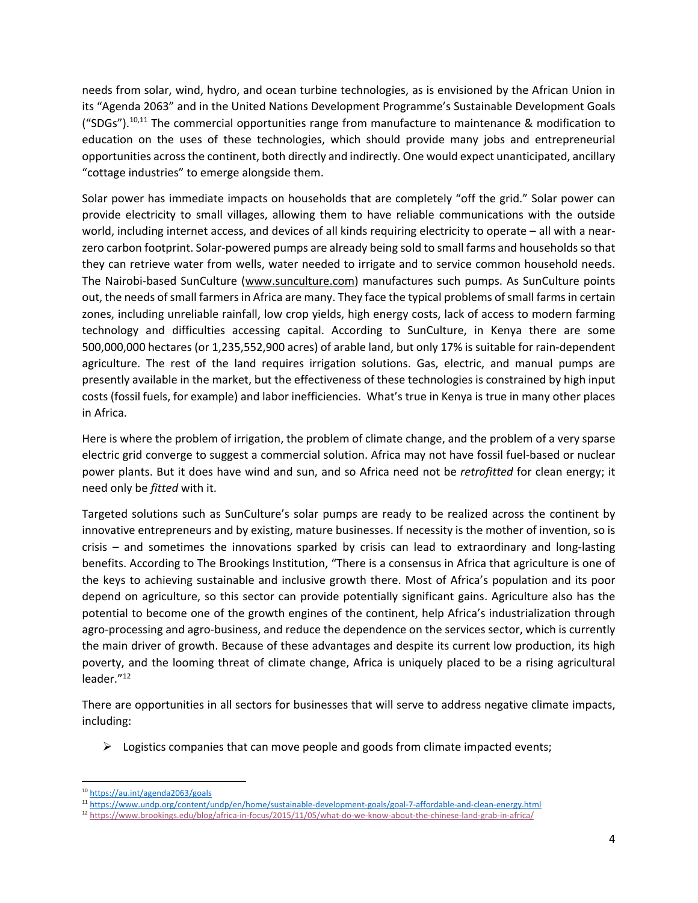needs from solar, wind, hydro, and ocean turbine technologies, as is envisioned by the African Union in its "Agenda 2063" and in the United Nations Development Programme's Sustainable Development Goals ("SDGs").<sup>10,11</sup> The commercial opportunities range from manufacture to maintenance & modification to education on the uses of these technologies, which should provide many jobs and entrepreneurial opportunities across the continent, both directly and indirectly. One would expect unanticipated, ancillary "cottage industries" to emerge alongside them.

Solar power has immediate impacts on households that are completely "off the grid." Solar power can provide electricity to small villages, allowing them to have reliable communications with the outside world, including internet access, and devices of all kinds requiring electricity to operate – all with a nearzero carbon footprint. Solar‐powered pumps are already being sold to small farms and households so that they can retrieve water from wells, water needed to irrigate and to service common household needs. The Nairobi‐based SunCulture (www.sunculture.com) manufactures such pumps. As SunCulture points out, the needs of small farmers in Africa are many. They face the typical problems of small farms in certain zones, including unreliable rainfall, low crop yields, high energy costs, lack of access to modern farming technology and difficulties accessing capital. According to SunCulture, in Kenya there are some 500,000,000 hectares (or 1,235,552,900 acres) of arable land, but only 17% is suitable for rain‐dependent agriculture. The rest of the land requires irrigation solutions. Gas, electric, and manual pumps are presently available in the market, but the effectiveness of these technologies is constrained by high input costs (fossil fuels, for example) and labor inefficiencies. What's true in Kenya is true in many other places in Africa.

Here is where the problem of irrigation, the problem of climate change, and the problem of a very sparse electric grid converge to suggest a commercial solution. Africa may not have fossil fuel‐based or nuclear power plants. But it does have wind and sun, and so Africa need not be *retrofitted* for clean energy; it need only be *fitted* with it.

Targeted solutions such as SunCulture's solar pumps are ready to be realized across the continent by innovative entrepreneurs and by existing, mature businesses. If necessity is the mother of invention, so is crisis – and sometimes the innovations sparked by crisis can lead to extraordinary and long-lasting benefits. According to The Brookings Institution, "There is a consensus in Africa that agriculture is one of the keys to achieving sustainable and inclusive growth there. Most of Africa's population and its poor depend on agriculture, so this sector can provide potentially significant gains. Agriculture also has the potential to become one of the growth engines of the continent, help Africa's industrialization through agro-processing and agro-business, and reduce the dependence on the services sector, which is currently the main driver of growth. Because of these advantages and despite its current low production, its high poverty, and the looming threat of climate change, Africa is uniquely placed to be a rising agricultural leader."<sup>12</sup>

There are opportunities in all sectors for businesses that will serve to address negative climate impacts, including:

 $\triangleright$  Logistics companies that can move people and goods from climate impacted events;

 <sup>10</sup> https://au.int/agenda2063/goals

<sup>11</sup> https://www.undp.org/content/undp/en/home/sustainable‐development‐goals/goal‐7‐affordable‐and‐clean‐energy.html

<sup>12</sup> https://www.brookings.edu/blog/africa-in-focus/2015/11/05/what-do-we-know-about-the-chinese-land-grab-in-africa/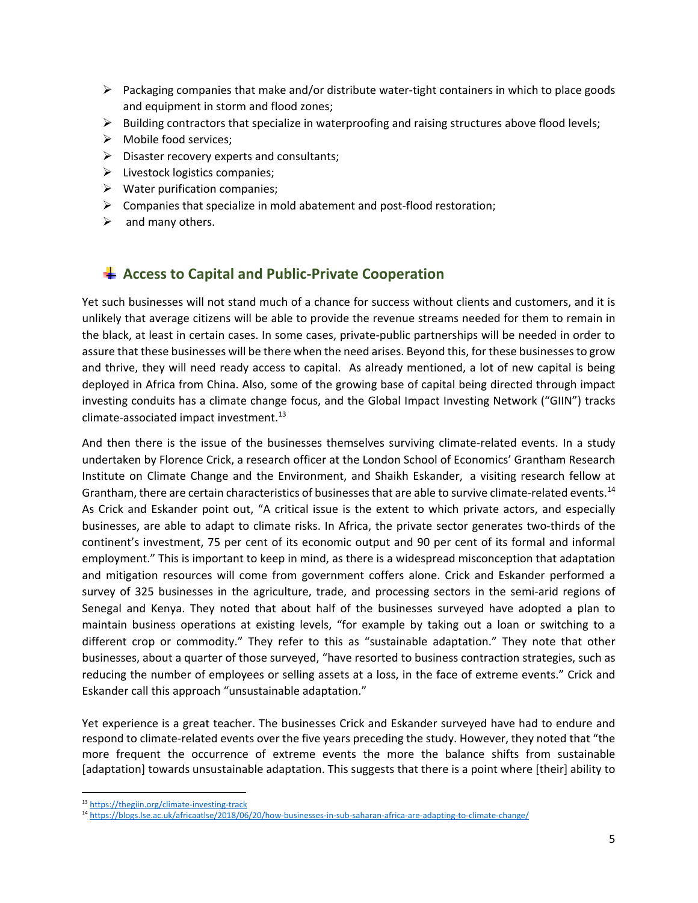- $\triangleright$  Packaging companies that make and/or distribute water-tight containers in which to place goods and equipment in storm and flood zones;
- $\triangleright$  Building contractors that specialize in waterproofing and raising structures above flood levels;
- $\triangleright$  Mobile food services;
- $\triangleright$  Disaster recovery experts and consultants;
- $\triangleright$  Livestock logistics companies;
- $\triangleright$  Water purification companies;
- Companies that specialize in mold abatement and post‐flood restoration;
- $\triangleright$  and many others.

## $\frac{1}{2}$  **Access to Capital and Public-Private Cooperation**

Yet such businesses will not stand much of a chance for success without clients and customers, and it is unlikely that average citizens will be able to provide the revenue streams needed for them to remain in the black, at least in certain cases. In some cases, private‐public partnerships will be needed in order to assure that these businesses will be there when the need arises. Beyond this, for these businesses to grow and thrive, they will need ready access to capital. As already mentioned, a lot of new capital is being deployed in Africa from China. Also, some of the growing base of capital being directed through impact investing conduits has a climate change focus, and the Global Impact Investing Network ("GIIN") tracks climate‐associated impact investment.13

And then there is the issue of the businesses themselves surviving climate-related events. In a study undertaken by Florence Crick, a research officer at the London School of Economics' Grantham Research Institute on Climate Change and the Environment, and Shaikh Eskander, a visiting research fellow at Grantham, there are certain characteristics of businesses that are able to survive climate-related events.<sup>14</sup> As Crick and Eskander point out, "A critical issue is the extent to which private actors, and especially businesses, are able to adapt to climate risks. In Africa, the private sector generates two‐thirds of the continent's investment, 75 per cent of its economic output and 90 per cent of its formal and informal employment." This is important to keep in mind, as there is a widespread misconception that adaptation and mitigation resources will come from government coffers alone. Crick and Eskander performed a survey of 325 businesses in the agriculture, trade, and processing sectors in the semi-arid regions of Senegal and Kenya. They noted that about half of the businesses surveyed have adopted a plan to maintain business operations at existing levels, "for example by taking out a loan or switching to a different crop or commodity." They refer to this as "sustainable adaptation." They note that other businesses, about a quarter of those surveyed, "have resorted to business contraction strategies, such as reducing the number of employees or selling assets at a loss, in the face of extreme events." Crick and Eskander call this approach "unsustainable adaptation."

Yet experience is a great teacher. The businesses Crick and Eskander surveyed have had to endure and respond to climate‐related events over the five years preceding the study. However, they noted that "the more frequent the occurrence of extreme events the more the balance shifts from sustainable [adaptation] towards unsustainable adaptation. This suggests that there is a point where [their] ability to

 13 https://thegiin.org/climate-investing-track

<sup>14</sup> https://blogs.lse.ac.uk/africaatlse/2018/06/20/how‐businesses‐in‐sub‐saharan‐africa‐are‐adapting‐to‐climate‐change/